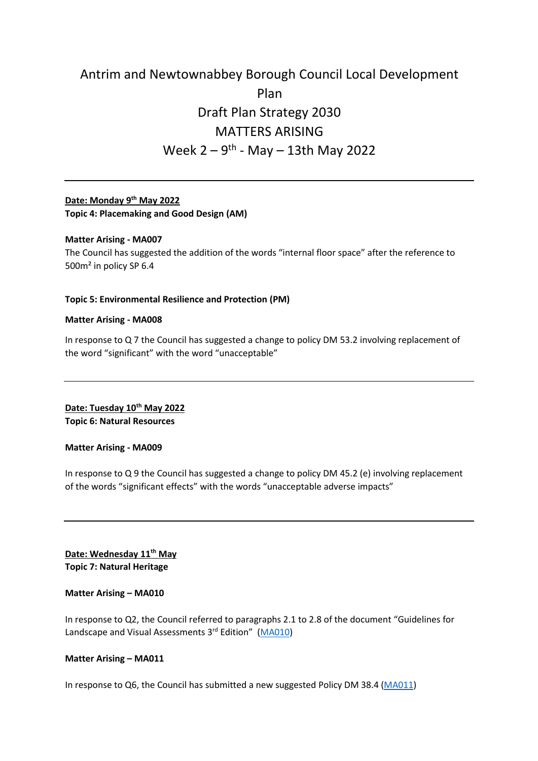# Antrim and Newtownabbey Borough Council Local Development Plan Draft Plan Strategy 2030 MATTERS ARISING Week 2 – 9<sup>th</sup> - May – 13th May 2022

# **Date: Monday 9 th May 2022 Topic 4: Placemaking and Good Design (AM)**

## **Matter Arising - MA007**

The Council has suggested the addition of the words "internal floor space" after the reference to 500m² in policy SP 6.4

## **Topic 5: Environmental Resilience and Protection (PM)**

#### **Matter Arising - MA008**

In response to Q 7 the Council has suggested a change to policy DM 53.2 involving replacement of the word "significant" with the word "unacceptable"

**Date: Tuesday 10th May 2022 Topic 6: Natural Resources**

#### **Matter Arising - MA009**

In response to Q 9 the Council has suggested a change to policy DM 45.2 (e) involving replacement of the words "significant effects" with the words "unacceptable adverse impacts"

**Date: Wednesday 11th May Topic 7: Natural Heritage**

#### **Matter Arising – MA010**

In response to Q2, the Council referred to paragraphs 2.1 to 2.8 of the document "Guidelines for Landscape and Visual Assessments 3<sup>rd</sup> Edition" [\(MA010\)](https://www.pacni.gov.uk/sites/pacni/files/media-files/MA010_0.pdf)

#### **Matter Arising – MA011**

In response to Q6, the Council has submitted a new suggested Policy DM 38.4 [\(MA011\)](https://www.pacni.gov.uk/sites/pacni/files/media-files/MA011.pdf)